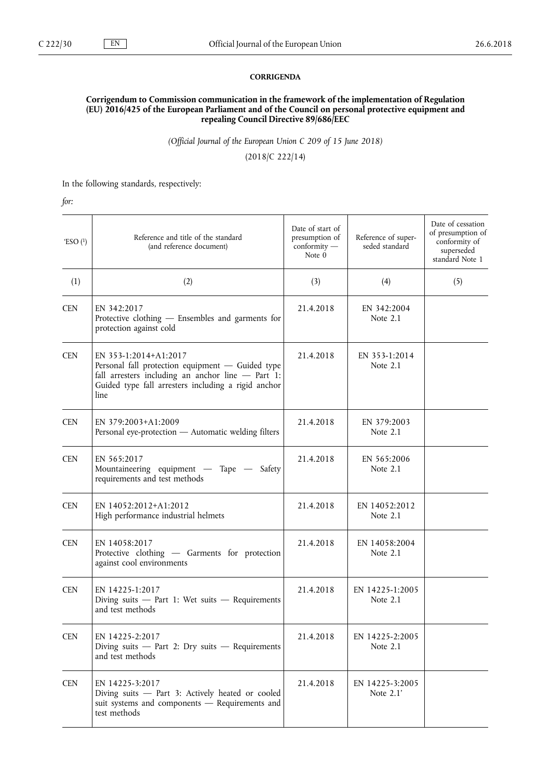## **CORRIGENDA**

## **Corrigendum to Commission communication in the framework of the implementation of Regulation (EU) 2016/425 of the European Parliament and of the Council on personal protective equipment and repealing Council Directive 89/686/EEC**

*(Official Journal of the European Union C 209 of 15 June 2018)*

(2018/C 222/14)

In the following standards, respectively:

*for:*

| 'ESO $(1)$ | Reference and title of the standard<br>(and reference document)                                                                                                                                 | Date of start of<br>presumption of<br>conformity -<br>Note 0 | Reference of super-<br>seded standard | Date of cessation<br>of presumption of<br>conformity of<br>superseded<br>standard Note 1 |
|------------|-------------------------------------------------------------------------------------------------------------------------------------------------------------------------------------------------|--------------------------------------------------------------|---------------------------------------|------------------------------------------------------------------------------------------|
| (1)        | (2)                                                                                                                                                                                             | (3)                                                          | (4)                                   | (5)                                                                                      |
| <b>CEN</b> | EN 342:2017<br>Protective clothing - Ensembles and garments for<br>protection against cold                                                                                                      | 21.4.2018                                                    | EN 342:2004<br>Note $2.1$             |                                                                                          |
| <b>CEN</b> | EN 353-1:2014+A1:2017<br>Personal fall protection equipment - Guided type<br>fall arresters including an anchor line $-$ Part 1:<br>Guided type fall arresters including a rigid anchor<br>line | 21.4.2018                                                    | EN 353-1:2014<br>Note 2.1             |                                                                                          |
| <b>CEN</b> | EN 379:2003+A1:2009<br>Personal eye-protection - Automatic welding filters                                                                                                                      | 21.4.2018                                                    | EN 379:2003<br>Note 2.1               |                                                                                          |
| <b>CEN</b> | EN 565:2017<br>Mountaineering equipment — Tape — Safety<br>requirements and test methods                                                                                                        | 21.4.2018                                                    | EN 565:2006<br>Note 2.1               |                                                                                          |
| <b>CEN</b> | EN 14052:2012+A1:2012<br>High performance industrial helmets                                                                                                                                    | 21.4.2018                                                    | EN 14052:2012<br>Note 2.1             |                                                                                          |
| <b>CEN</b> | EN 14058:2017<br>Protective clothing - Garments for protection<br>against cool environments                                                                                                     | 21.4.2018                                                    | EN 14058:2004<br>Note $2.1$           |                                                                                          |
| <b>CEN</b> | EN 14225-1:2017<br>Diving suits $-$ Part 1: Wet suits $-$ Requirements<br>and test methods                                                                                                      | 21.4.2018                                                    | EN 14225-1:2005<br>Note $2.1$         |                                                                                          |
| <b>CEN</b> | EN 14225-2:2017<br>Diving suits $-$ Part 2: Dry suits $-$ Requirements<br>and test methods                                                                                                      | 21.4.2018                                                    | EN 14225-2:2005<br>Note $2.1$         |                                                                                          |
| <b>CEN</b> | EN 14225-3:2017<br>Diving suits - Part 3: Actively heated or cooled<br>suit systems and components - Requirements and<br>test methods                                                           | 21.4.2018                                                    | EN 14225-3:2005<br>Note 2.1'          |                                                                                          |